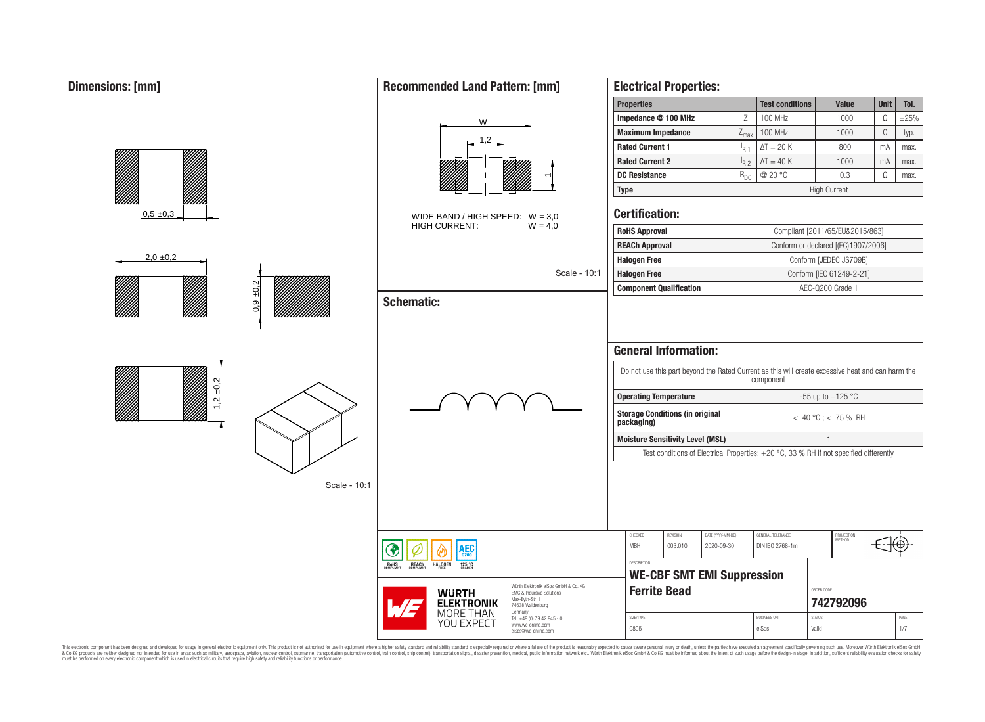#### **Properties Test conditions Value Unit Tol. Impedance @ 100 MHz defined as a contract of Z** 100 MHz defined 1000 defined ±25% W **Maximum Impedance**  $\begin{bmatrix} Z_{\text{max}} \end{bmatrix} 100 \text{ MHz}$  1000  $\begin{bmatrix} \Omega \end{bmatrix}$  typ. 1,2 **Rated Current 1** I<sub>R 1</sub>  $\Delta T = 20 \text{ K}$   $\phantom{00}$  800 mA max. **Rated Current 2** I<sub>R 2</sub>  $\frac{I_{R2}}{I_{R2}}$   $\Delta T = 40$  K 1000 mA max.<br>  $\frac{I_{R2}}{I_{R2}}$   $\frac{I_{R2}}{I_{R2}}$   $\frac{I_{R3}}{I_{R3}}$   $\frac{I_{R4}}{I_{R4}}$   $\frac{I_{R5}}{I_{R4}}$   $\frac{I_{R5}}{I_{R4}}$ **DC Resistance**  $R_{\text{DC}} \downarrow \textcircled{20} \textcirc \textcirc \quad \downarrow \textcircled{0.3} \downarrow \textcircled{1}$  max.  $\overline{\phantom{0}}$ **Type** High Current **Certification:**  $0.5 \pm 0.3$ WIDE BAND / HIGH SPEED:  $W = 3,0$ <br>HIGH CURRENT:  $W = 4,0$ HIGH CURRENT: **RoHS Approval Robert Compliant [2011/65/EU&2015/863] REACh Approval** Conform or declared [(EC)1907/2006]  $2.0 + 0.2$ **Halogen Free Conform [JEDEC JS709B]** Scale - 10:1 **Halogen Free** Conform [IEC 61249-2-21] 0,9 ±0,2 **Component Qualification AEC-Q200 Grade 1 Schematic: General Information:** Do not use this part beyond the Rated Current as this will create excessive heat and can harm the component  $1,2 +0,2$ **Operating Temperature 1 C** =  $-55$  up to  $+125$  °C **Storage Conditions (in original direction of the state of**  $\epsilon$  **40 °C ; < 75 % RH <b>packaging) Moisture Sensitivity Level (MSL)** 1 Test conditions of Electrical Properties: +20 °C, 33 % RH if not specified differently Scale - 10:1 CHECKED REVISION DATE (YYYY-MM-DD) GENERAL TOLERANCE PROJECTION<br>METHOD MBH 003.010 2020-09-30 DIN ISO 2768-1m ۱EС DESCRIPTION RoHS REACh **HALOGEN**  $125 °C$ **WE-CBF SMT EMI Suppression** Würth Elektronik eiSos GmbH & Co. KG **Ferrite Bead CONDER CODE READ WURTH** EMC & Inductive Solutions Max-Eyth-Str. 1 **[742792096](https://www.we-online.com/catalog/en/article/742792096) ELEKTRONIK** 74638 Waldenburg MORE THAN Germany Tel. +49 (0) 79 42 945 - 0 SIZE/TYPE BUSINESS UNIT STATUS PAGE YOU EXPECT www.we-online.com 0805 eiSos Valid 1/7 eiSos@we-online.com

This electronic component has been designed and developed for usage in general electronic equipment only. This product is not authorized for use in equipment where a higher safety standard and reliability standard is espec & Ook product a label and the membed of the seasuch as marked and as which such a membed and the such assume that income in the seasuch and the simulation and the such assume that include to the such a membed and the such

# **Recommended Land Pattern: [mm]**

**Electrical Properties:**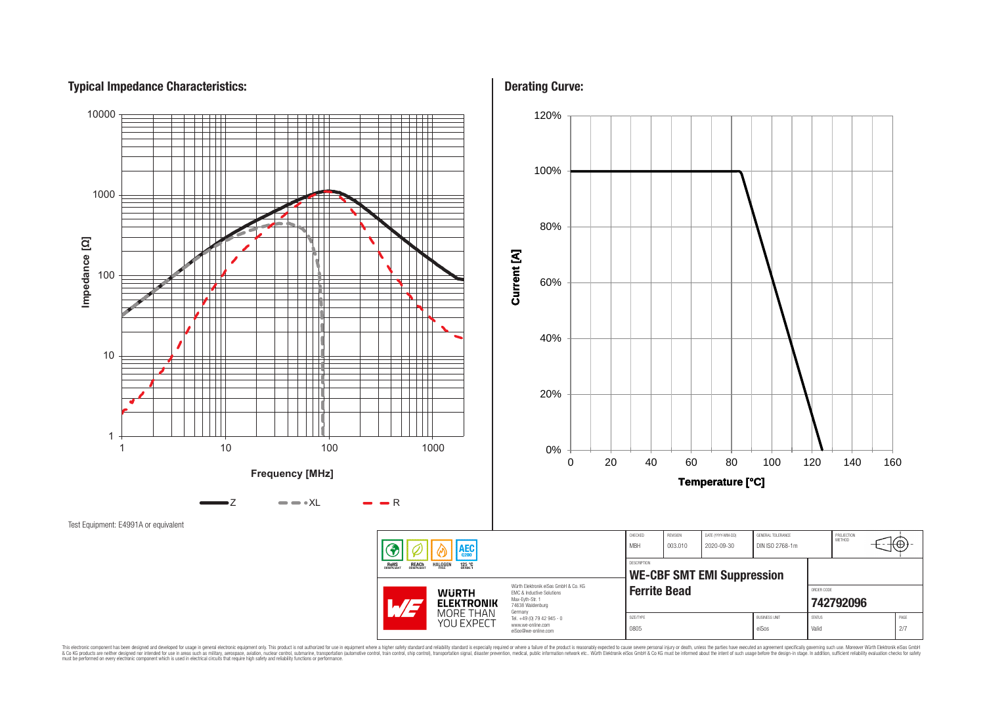# **Typical Impedance Characteristics:**



This electronic component has been designed and developed for usage in general electronic equipment only. This product is not authorized for use in equipment where a higher safely standard and reliability standard si espec & Ook product a label and the membed of the seasuch as marked and as which such a membed and the such assume that income in the seasuch and the simulation and the such assume that include to the such a membed and the such

**Derating Curve:**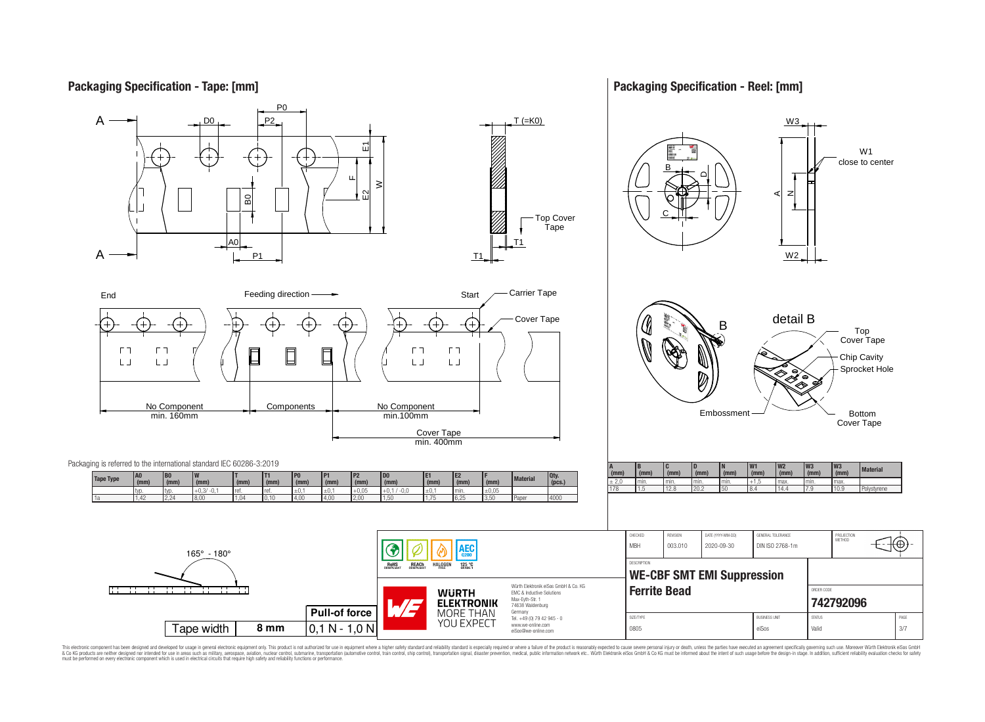# **Packaging Specification - Tape: [mm]**

### **Packaging Specification - Reel: [mm]**



This electronic component has been designed and developed for usage in general electronic equipment only. This product is not authorized for use in equipment where a higher safely standard and reliability standard si espec & Ook product a label and the membed of the seasuch as marked and as which such a membed and the such assume that income in the seasuch and the simulation and the such assume that include to the such a membed and the such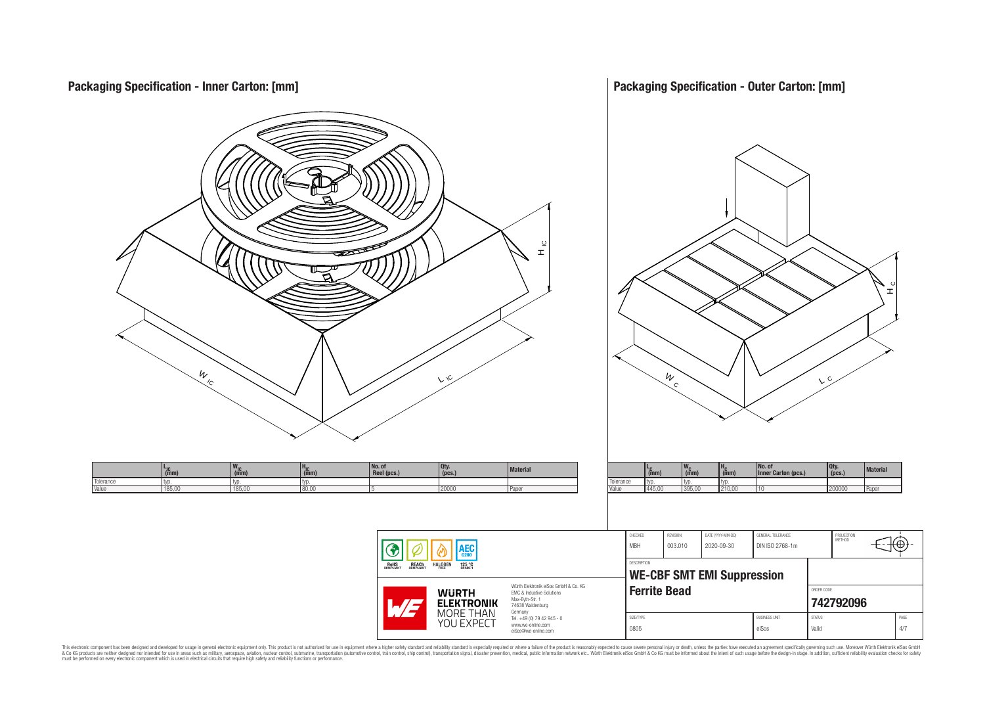**Packaging Specification - Outer Carton: [mm] Packaging Specification - Inner Carton: [mm]**  $\frac{9}{1}$ 뇌  $\frac{w}{c}$  $W_{\rm c}$  $\sqrt{C}$  C L $\mathcal{L}$ **No. of L<sub>IC</sub>**<br>typ. **No. of Reel (pcs.) Qty. (pcs.) Material LC (mm) WC HC (mm) Qty. (pcs.) Material <sup>W</sup>IC (mm) <sup>H</sup>IC (mm) Inner Carton (pcs.) (mm)** Tolerance typ. typ. typ.<br>Value 445.00 395.00 210 Tolerance typ. typ. typ. typ. typ. Value 185,00 185,00 185,00 80,00 5 20000 20000 Paper Value 445,00 395,00 210,00 10 200000 Paper CHECKED REVISION DATE (YYYY-MM-DD) GENERAL TOLERANCE PROJECTION<br>METHOD 76 MBH 003.010 2020-09-30 DIN ISO 2768-1m AEC G DESCRIPTION **RoHS REACH HALOGEN** 125 °C **WE-CBF SMT EMI Suppression** Würth Elektronik eiSos GmbH & Co. KG **Ferrite Bead CONDER CONDER CODE WURTH** EMC & Inductive Solutions Max-Eyth-Str. 1 **[742792096](https://www.we-online.com/catalog/en/article/742792096) ELEKTRONIK** 74638 Waldenburg **MORE THAN** Germany Tel. +49 (0) 79 42 945 - 0 SIZE/TYPE BUSINESS UNIT STATUS PAGE YOU EXPECT www.we-online.com 0805 eiSos Valid 4/7 eiSos@we-online.com

This electronic component has been designed and developed for usage in general electronic equipment only. This product is not authorized for subserved requipment where a higher selection equipment where a higher selection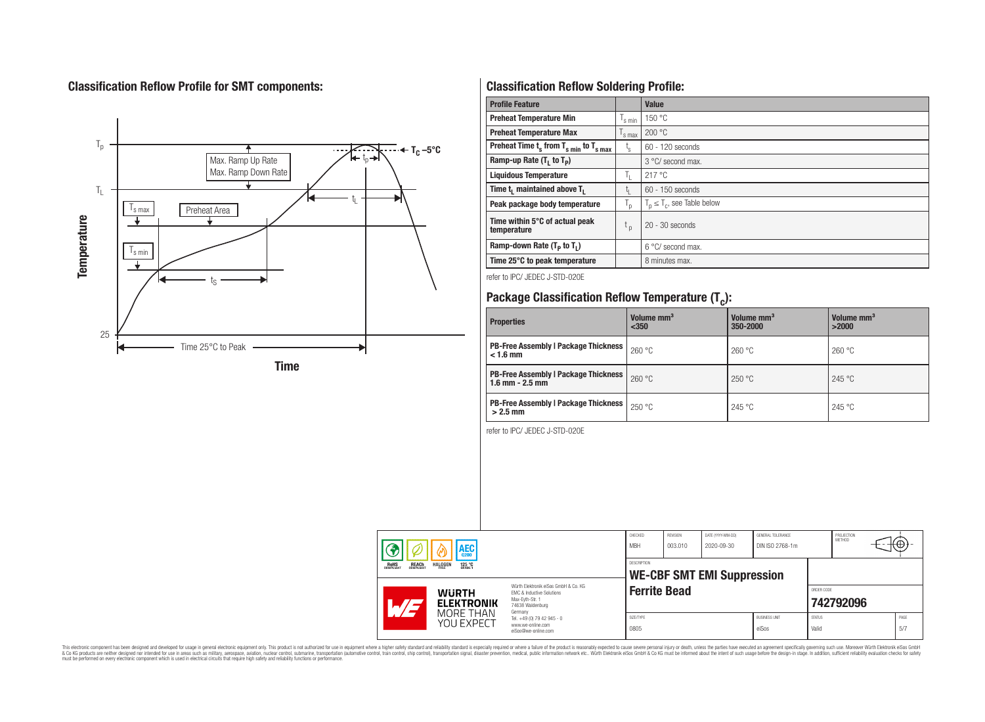# **Classification Reflow Profile for SMT components:**



# **Classification Reflow Soldering Profile:**

| <b>Profile Feature</b>                              |                           | <b>Value</b>                     |
|-----------------------------------------------------|---------------------------|----------------------------------|
| <b>Preheat Temperature Min</b>                      | s min                     | 150 °C                           |
| <b>Preheat Temperature Max</b>                      | <sup>I</sup> s max        | 200 °C                           |
| Preheat Time $t_s$ from $T_{s,min}$ to $T_{s,max}$  | $t_{\rm s}$               | $60 - 120$ seconds               |
| Ramp-up Rate $(T_1$ to $T_p$ )                      |                           | 3 °C/ second max.                |
| <b>Liquidous Temperature</b>                        | Ъ.                        | 217°C                            |
| Time t <sub>1</sub> maintained above T <sub>1</sub> |                           | $60 - 150$ seconds               |
| Peak package body temperature                       | $\mathsf{I}_{\mathsf{D}}$ | $T_p \leq T_c$ , see Table below |
| Time within 5°C of actual peak<br>temperature       | t <sub>p</sub>            | $20 - 30$ seconds                |
| Ramp-down Rate $(T_p$ to $T_1$ )                    |                           | 6 °C/ second max.                |
| Time 25°C to peak temperature                       |                           | 8 minutes max.                   |

refer to IPC/ JEDEC J-STD-020E

# **Package Classification Reflow Temperature (T<sup>c</sup> ):**

| <b>Properties</b>                                                    | Volume mm <sup>3</sup><br>$350$ | Volume mm <sup>3</sup><br>350-2000 | Volume mm <sup>3</sup><br>>2000 |
|----------------------------------------------------------------------|---------------------------------|------------------------------------|---------------------------------|
| <b>PB-Free Assembly   Package Thickness  </b><br>$< 1.6$ mm          | 260 °C                          | 260 °C                             | 260 °C                          |
| <b>PB-Free Assembly   Package Thickness  </b><br>$1.6$ mm $- 2.5$ mm | 260 °C                          | 250 °C                             | 245 °C                          |
| <b>PB-Free Assembly   Package Thickness  </b><br>$>2.5$ mm           | 250 °C                          | 245 °C                             | 245 °C                          |

refer to IPC/ JEDEC J-STD-020E

| <b>AEC</b> |                                                                            | CHECKED<br><b>MBH</b>   | REVISION<br>003.010                                                                                                 | DATE (YYYY-MM-DD)<br>2020-09-30 | GENERAL TOLERANCE<br>DIN ISO 2768-1m |  | PROJECTION<br><b>METHOD</b>   |                        | ₩         |  |             |
|------------|----------------------------------------------------------------------------|-------------------------|---------------------------------------------------------------------------------------------------------------------|---------------------------------|--------------------------------------|--|-------------------------------|------------------------|-----------|--|-------------|
|            | <b>REACH</b><br>COMPLIANT<br><b>HALOGEN</b><br>125 °C<br>ROHS<br>COMPLIANT |                         | <b>DESCRIPTION</b><br><b>WE-CBF SMT EMI Suppression</b>                                                             |                                 |                                      |  |                               |                        |           |  |             |
|            | <b>WURTH</b><br><b>ELEKTRONIK</b>                                          |                         | Würth Flektronik eiSos GmbH & Co. KG<br>FMC & Inductive Solutions<br>Max-Evth-Str. 1<br>74638 Waldenburg<br>Germany | <b>Ferrite Bead</b>             |                                      |  |                               | ORDER CODE             | 742792096 |  |             |
|            |                                                                            | MORE THAN<br>YOU EXPECT | Tel. +49 (0) 79 42 945 - 0<br>www.we-online.com<br>eiSos@we-online.com                                              | SIZE/TYPE<br>0805               |                                      |  | <b>BUSINESS UNIT</b><br>eiSos | <b>STATUS</b><br>Valid |           |  | PAGE<br>5/7 |

This electronic component has been designed and developed for usage in general electronic equipment only. This product is not authorized for subserved requipment where a higher selection equipment where a higher selection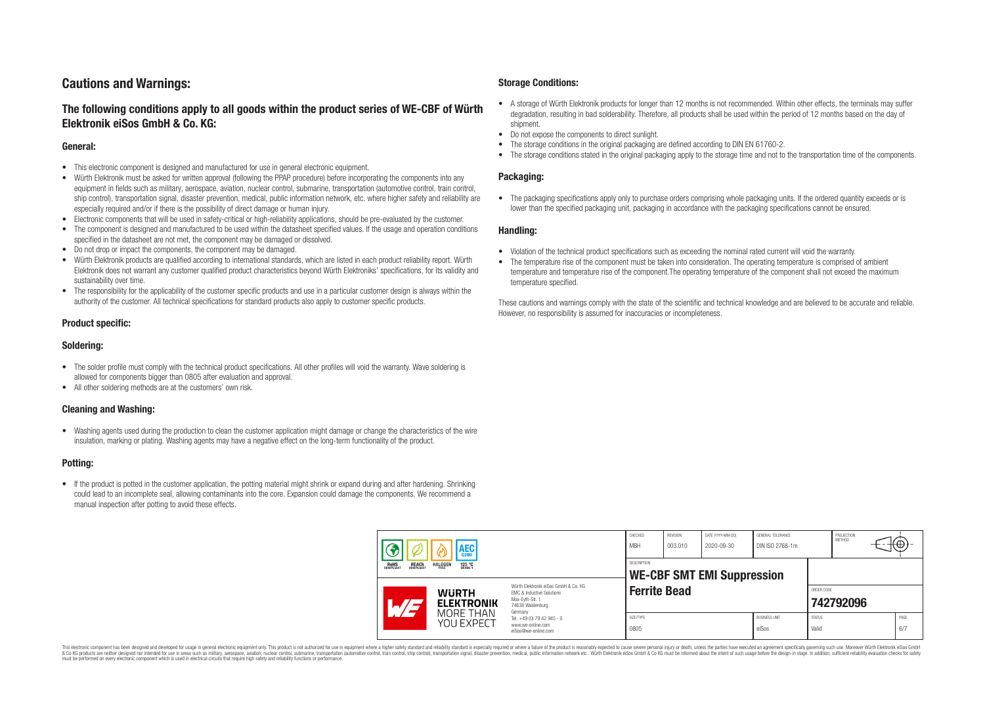# **Cautions and Warnings:**

## **The following conditions apply to all goods within the product series of WE-CBF of Würth Elektronik eiSos GmbH & Co. KG:**

#### **General:**

- This electronic component is designed and manufactured for use in general electronic equipment.
- Würth Elektronik must be asked for written approval (following the PPAP procedure) before incorporating the components into any equipment in fields such as military, aerospace, aviation, nuclear control, submarine, transportation (automotive control, train control, ship control), transportation signal, disaster prevention, medical, public information network, etc. where higher safety and reliability are especially required and/or if there is the possibility of direct damage or human injury.
- Electronic components that will be used in safety-critical or high-reliability applications, should be pre-evaluated by the customer.
- The component is designed and manufactured to be used within the datasheet specified values. If the usage and operation conditions specified in the datasheet are not met, the component may be damaged or dissolved.
- Do not drop or impact the components, the component may be damaged.
- Würth Elektronik products are qualified according to international standards, which are listed in each product reliability report. Würth Elektronik does not warrant any customer qualified product characteristics beyond Würth Elektroniks' specifications, for its validity and sustainability over time.
- The responsibility for the applicability of the customer specific products and use in a particular customer design is always within the authority of the customer. All technical specifications for standard products also apply to customer specific products.

#### **Product specific:**

#### **Soldering:**

- The solder profile must comply with the technical product specifications. All other profiles will void the warranty. Wave soldering is allowed for components bigger than 0805 after evaluation and approval.
- All other soldering methods are at the customers' own risk.

#### **Cleaning and Washing:**

• Washing agents used during the production to clean the customer application might damage or change the characteristics of the wire insulation, marking or plating. Washing agents may have a negative effect on the long-term functionality of the product.

#### **Potting:**

• If the product is potted in the customer application, the potting material might shrink or expand during and after hardening. Shrinking could lead to an incomplete seal, allowing contaminants into the core. Expansion could damage the components. We recommend a manual inspection after potting to avoid these effects.

#### **Storage Conditions:**

- A storage of Würth Elektronik products for longer than 12 months is not recommended. Within other effects, the terminals may suffer degradation, resulting in bad solderability. Therefore, all products shall be used within the period of 12 months based on the day of shipment.
- Do not expose the components to direct sunlight.<br>• The storage conditions in the original packaging
- The storage conditions in the original packaging are defined according to DIN EN 61760-2.
- The storage conditions stated in the original packaging apply to the storage time and not to the transportation time of the components.

#### **Packaging:**

• The packaging specifications apply only to purchase orders comprising whole packaging units. If the ordered quantity exceeds or is lower than the specified packaging unit, packaging in accordance with the packaging specifications cannot be ensured.

#### **Handling:**

- Violation of the technical product specifications such as exceeding the nominal rated current will void the warranty.
- The temperature rise of the component must be taken into consideration. The operating temperature is comprised of ambient temperature and temperature rise of the component.The operating temperature of the component shall not exceed the maximum temperature specified.

These cautions and warnings comply with the state of the scientific and technical knowledge and are believed to be accurate and reliable. However, no responsibility is assumed for inaccuracies or incompleteness.

| AEC<br><b>REACH</b><br>COMPLIANT<br><b>ROHS</b><br>COMPLIANT<br><b>HALOGEN</b><br>125 °C<br>Grade 1<br>FRFF |                                                                                                                                | CHECKED<br><b>MBH</b>                                   | REVISION<br>003.010 | DATE (YYYY-MM-DD)<br>2020-09-30 | GENERAL TOLERANCE<br>DIN ISO 2768-1m |                        | PROJECTION<br>METHOD | ₩           |
|-------------------------------------------------------------------------------------------------------------|--------------------------------------------------------------------------------------------------------------------------------|---------------------------------------------------------|---------------------|---------------------------------|--------------------------------------|------------------------|----------------------|-------------|
|                                                                                                             |                                                                                                                                | <b>DESCRIPTION</b><br><b>WE-CBF SMT EMI Suppression</b> |                     |                                 |                                      |                        |                      |             |
| <b>WURTH</b><br><b>ELEKTRONIK</b>                                                                           | Würth Elektronik eiSos GmbH & Co. KG<br><b>EMC &amp; Inductive Solutions</b><br>Max-Eyth-Str. 1<br>74638 Waldenburg<br>Germany | <b>Ferrite Bead</b>                                     |                     |                                 |                                      | ORDER CODE             | 742792096            |             |
| MORE THAN<br>YOU EXPECT                                                                                     | Tel. +49 (0) 79 42 945 - 0<br>www.we-online.com<br>eiSos@we-online.com                                                         | SIZE/TYPE<br>0805                                       |                     |                                 | <b>BUSINESS UNIT</b><br>eiSos        | <b>STATUS</b><br>Valid |                      | PAGE<br>6/7 |

This electronic component has been designed and developed for usage in general electronic equipment only. This product is not authorized for use in equipment where a higher safety standard and reliability standard si espec & Ook product a label and the membed of the seasuch as marked and as which such a membed and the such assume that income in the seasuch and the simulation and the such assume that include to the such a membed and the such